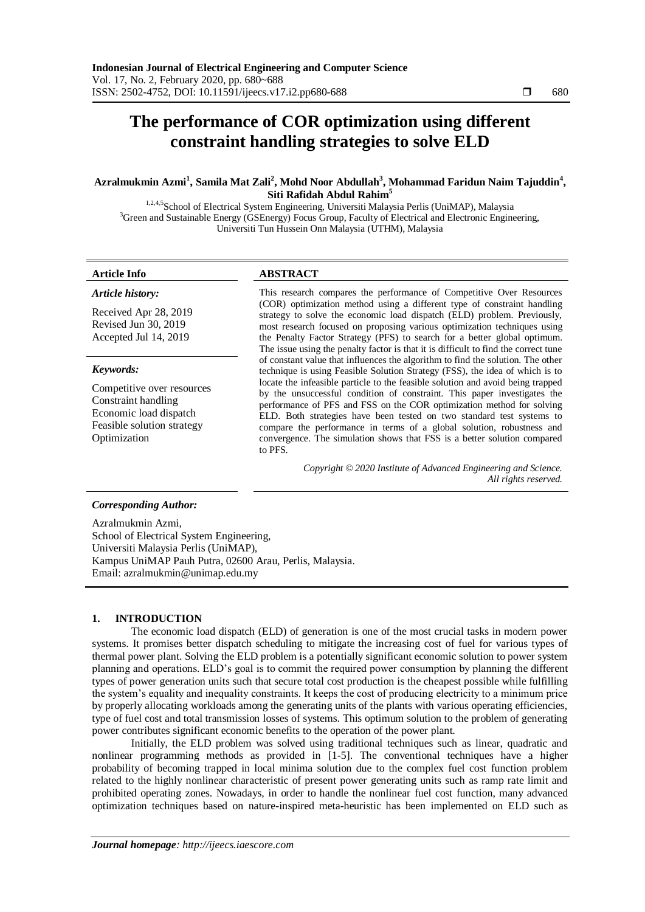# **The performance of COR optimization using different constraint handling strategies to solve ELD**

# **Azralmukmin Azmi<sup>1</sup> , Samila Mat Zali<sup>2</sup> , Mohd Noor Abdullah<sup>3</sup> , Mohammad Faridun Naim Tajuddin<sup>4</sup> , Siti Rafidah Abdul Rahim<sup>5</sup>**

<sup>1,2,4,5</sup>School of Electrical System Engineering, Universiti Malaysia Perlis (UniMAP), Malaysia <sup>3</sup>Green and Sustainable Energy (GSEnergy) Focus Group, Faculty of Electrical and Electronic Engineering, Universiti Tun Hussein Onn Malaysia (UTHM), Malaysia

# **Article Info ABSTRACT**

*Article history:*

Received Apr 28, 2019 Revised Jun 30, 2019 Accepted Jul 14, 2019

# *Keywords:*

Competitive over resources Constraint handling Economic load dispatch Feasible solution strategy Optimization

This research compares the performance of Competitive Over Resources (COR) optimization method using a different type of constraint handling strategy to solve the economic load dispatch (ELD) problem. Previously, most research focused on proposing various optimization techniques using the Penalty Factor Strategy (PFS) to search for a better global optimum. The issue using the penalty factor is that it is difficult to find the correct tune of constant value that influences the algorithm to find the solution. The other technique is using Feasible Solution Strategy (FSS), the idea of which is to locate the infeasible particle to the feasible solution and avoid being trapped by the unsuccessful condition of constraint. This paper investigates the performance of PFS and FSS on the COR optimization method for solving ELD. Both strategies have been tested on two standard test systems to compare the performance in terms of a global solution, robustness and convergence. The simulation shows that FSS is a better solution compared to PFS.

> *Copyright © 2020 Institute of Advanced Engineering and Science. All rights reserved.*

# *Corresponding Author:*

Azralmukmin Azmi, School of Electrical System Engineering, Universiti Malaysia Perlis (UniMAP), Kampus UniMAP Pauh Putra, 02600 Arau, Perlis, Malaysia. Email: azralmukmin@unimap.edu.my

# **1. INTRODUCTION**

The economic load dispatch (ELD) of generation is one of the most crucial tasks in modern power systems. It promises better dispatch scheduling to mitigate the increasing cost of fuel for various types of thermal power plant. Solving the ELD problem is a potentially significant economic solution to power system planning and operations. ELD's goal is to commit the required power consumption by planning the different types of power generation units such that secure total cost production is the cheapest possible while fulfilling the system's equality and inequality constraints. It keeps the cost of producing electricity to a minimum price by properly allocating workloads among the generating units of the plants with various operating efficiencies, type of fuel cost and total transmission losses of systems. This optimum solution to the problem of generating power contributes significant economic benefits to the operation of the power plant.

Initially, the ELD problem was solved using traditional techniques such as linear, quadratic and nonlinear programming methods as provided in [1-5]. The conventional techniques have a higher probability of becoming trapped in local minima solution due to the complex fuel cost function problem related to the highly nonlinear characteristic of present power generating units such as ramp rate limit and prohibited operating zones. Nowadays, in order to handle the nonlinear fuel cost function, many advanced optimization techniques based on nature-inspired meta-heuristic has been implemented on ELD such as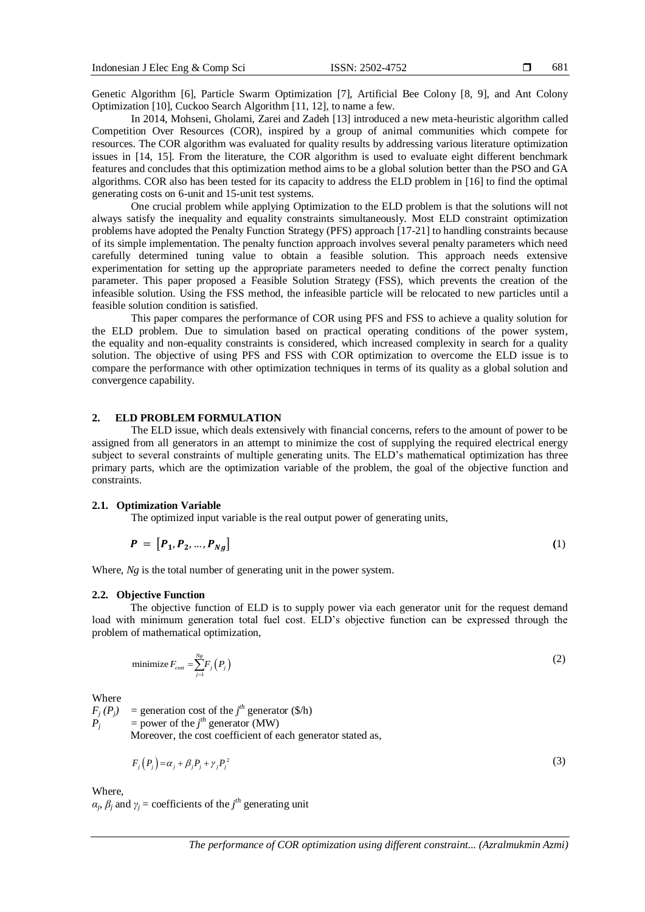Genetic Algorithm [6], Particle Swarm Optimization [7], Artificial Bee Colony [8, 9], and Ant Colony Optimization [10], Cuckoo Search Algorithm [11, 12], to name a few.

In 2014, Mohseni, Gholami, Zarei and Zadeh [13] introduced a new meta-heuristic algorithm called Competition Over Resources (COR), inspired by a group of animal communities which compete for resources. The COR algorithm was evaluated for quality results by addressing various literature optimization issues in [14, 15]. From the literature, the COR algorithm is used to evaluate eight different benchmark features and concludes that this optimization method aims to be a global solution better than the PSO and GA algorithms. COR also has been tested for its capacity to address the ELD problem in [16] to find the optimal generating costs on 6-unit and 15-unit test systems.

One crucial problem while applying Optimization to the ELD problem is that the solutions will not always satisfy the inequality and equality constraints simultaneously. Most ELD constraint optimization problems have adopted the Penalty Function Strategy (PFS) approach [17-21] to handling constraints because of its simple implementation. The penalty function approach involves several penalty parameters which need carefully determined tuning value to obtain a feasible solution. This approach needs extensive experimentation for setting up the appropriate parameters needed to define the correct penalty function parameter. This paper proposed a Feasible Solution Strategy (FSS), which prevents the creation of the infeasible solution. Using the FSS method, the infeasible particle will be relocated to new particles until a feasible solution condition is satisfied.

This paper compares the performance of COR using PFS and FSS to achieve a quality solution for the ELD problem. Due to simulation based on practical operating conditions of the power system, the equality and non-equality constraints is considered, which increased complexity in search for a quality solution. The objective of using PFS and FSS with COR optimization to overcome the ELD issue is to compare the performance with other optimization techniques in terms of its quality as a global solution and convergence capability.

# **2. ELD PROBLEM FORMULATION**

The ELD issue, which deals extensively with financial concerns, refers to the amount of power to be assigned from all generators in an attempt to minimize the cost of supplying the required electrical energy subject to several constraints of multiple generating units. The ELD's mathematical optimization has three primary parts, which are the optimization variable of the problem, the goal of the objective function and constraints.

## **2.1. Optimization Variable**

The optimized input variable is the real output power of generating units,

$$
P = [P_1, P_2, \dots, P_{Ng}] \tag{1}
$$

Where, *Ng* is the total number of generating unit in the power system.

#### **2.2. Objective Function**

The objective function of ELD is to supply power via each generator unit for the request demand load with minimum generation total fuel cost. ELD's objective function can be expressed through the problem of mathematical optimization,

$$
\text{minimize } F_{\text{cost}} = \sum_{j=1}^{N_g} F_j \left( P_j \right) \tag{2}
$$

Where

 $F_j(P_j)$  = generation cost of the *j*<sup>th</sup> generator (\$/h)  $P_j$  = power of the *j*<sup>th</sup> generator (MW) Moreover, the cost coefficient of each generator stated as,

$$
F_j(P_j) = \alpha_j + \beta_j P_j + \gamma_j P_j^2 \tag{3}
$$

Where,

 $\alpha_j$ ,  $\beta_j$  and  $\gamma_j$  = coefficients of the *j*<sup>th</sup> generating unit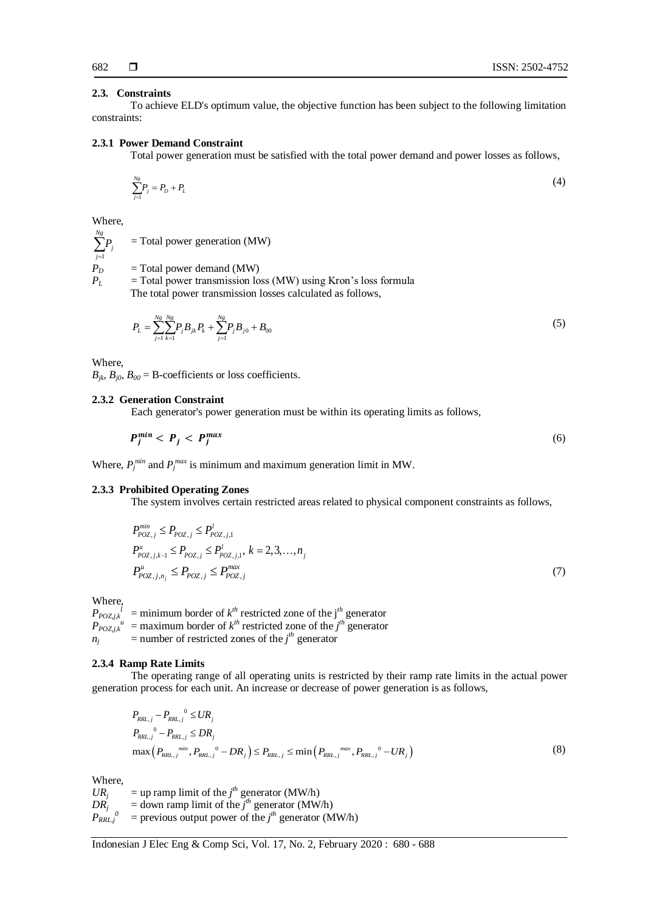#### **2.3. Constraints**

To achieve ELD's optimum value, the objective function has been subject to the following limitation constraints:

#### **2.3.1 Power Demand Constraint**

Total power generation must be satisfied with the total power demand and power losses as follows,

$$
\sum_{j=1}^{Ng} P_j = P_D + P_L \tag{4}
$$

Where,

1 *Ng j j P*  $=$  = Total power generation (MW)  $P_D$  = Total power demand (MW)<br> $P_L$  = Total power transmission lo

= Total power transmission loss (MW) using Kron's loss formula The total power transmission losses calculated as follows,

$$
P_{L} = \sum_{j=1}^{Ng} \sum_{k=1}^{Ng} P_{j} B_{jk} P_{k} + \sum_{j=1}^{Ng} P_{j} B_{j0} + B_{00}
$$
\n(5)

Where,

 $B_{ik}$ ,  $B_{i0}$ ,  $B_{00}$  = B-coefficients or loss coefficients.

#### **2.3.2 Generation Constraint**

Each generator's power generation must be within its operating limits as follows,

$$
P_j^{min} < P_j < P_j^{max} \tag{6}
$$

Where,  $P_j^{\text{min}}$  and  $P_j^{\text{max}}$  is minimum and maximum generation limit in MW.

# **2.3.3 Prohibited Operating Zones**

The system involves certain restricted areas related to physical component constraints as follows,

$$
P_{POZ,j}^{min} \le P_{POZ,j} \le P_{POZ,j,1}^l
$$
  
\n
$$
P_{POZ,j,k-1}^u \le P_{POZ,j} \le P_{POZ,j,1}^l, k = 2,3,...,n_j
$$
  
\n
$$
P_{POZ,j,n_j}^u \le P_{POZ,j} \le P_{POZ,j}^{max}
$$
 (7)

Where,

 $P_{POZ_1,k}$ <sup>*l*</sup> = minimum border of  $k^{th}$  restricted zone of the j<sup>th</sup> generator  $P_{POZ,j,k}$ <sup>*u*</sup> = maximum border of  $k^{th}$  restricted zone of the *j*<sup>th</sup> generator  $n_j$  = number of restricted zones of the *j<sup>th</sup>* generator

#### **2.3.4 Ramp Rate Limits**

The operating range of all operating units is restricted by their ramp rate limits in the actual power generation process for each unit. An increase or decrease of power generation is as follows,

$$
P_{RRL,j}^0 - P_{RRL,j}^0 \leq UR_j
$$
  
\n
$$
P_{RRL,j}^0 - P_{RRL,j} \leq DR_j
$$
  
\n
$$
\max\left(P_{RRL,j}^{min}, P_{RRL,j}^0 - DR_j\right) \leq P_{RRL,j} \leq \min\left(P_{RRL,j}^{max}, P_{RRL,j}^0 - UR_j\right)
$$
\n(8)

Where,

 $UR_j$  = up ramp limit of the *j*<sup>th</sup> generator (MW/h)  $DR$ <sup>*j*</sup> = down ramp limit of the *j*<sup>th</sup> generator (MW/h)  $P_{\mathit{RRL},j}^{\phantom{\mathrm{d}}\phantom{\mathrm{d}}\phantom{\mathrm{d}}\!\!}^{\phantom{\mathrm{d}}\mathrm{d}}$ = previous output power of the  $j<sup>th</sup>$  generator (MW/h)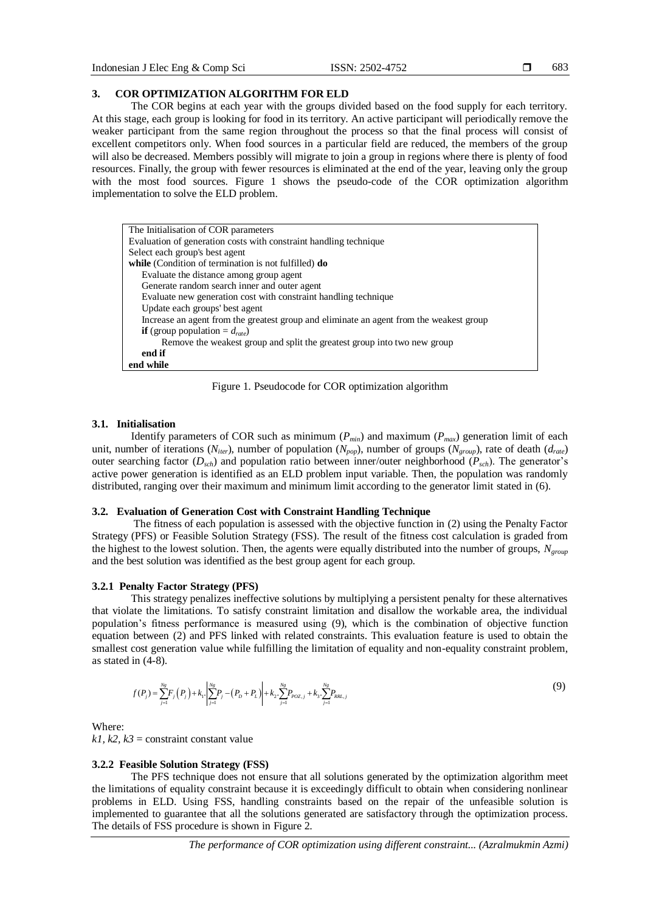683

# **3. COR OPTIMIZATION ALGORITHM FOR ELD**

The COR begins at each year with the groups divided based on the food supply for each territory. At this stage, each group is looking for food in its territory. An active participant will periodically remove the weaker participant from the same region throughout the process so that the final process will consist of excellent competitors only. When food sources in a particular field are reduced, the members of the group will also be decreased. Members possibly will migrate to join a group in regions where there is plenty of food resources. Finally, the group with fewer resources is eliminated at the end of the year, leaving only the group with the most food sources. Figure 1 shows the pseudo-code of the COR optimization algorithm implementation to solve the ELD problem.

| The Initialisation of COR parameters                                                    |
|-----------------------------------------------------------------------------------------|
| Evaluation of generation costs with constraint handling technique                       |
| Select each group's best agent                                                          |
| while (Condition of termination is not fulfilled) do                                    |
| Evaluate the distance among group agent                                                 |
| Generate random search inner and outer agent                                            |
| Evaluate new generation cost with constraint handling technique                         |
| Update each groups' best agent                                                          |
| Increase an agent from the greatest group and eliminate an agent from the weakest group |
| <b>if</b> (group population = $d_{rate}$ )                                              |
| Remove the weakest group and split the greatest group into two new group                |
| end if                                                                                  |
| end while                                                                               |

Figure 1. Pseudocode for COR optimization algorithm

# **3.1. Initialisation**

Identify parameters of COR such as minimum  $(P_{min})$  and maximum  $(P_{max})$  generation limit of each unit, number of iterations (*Niter*), number of population (*Npop*), number of groups (*Ngroup*), rate of death (*drate*) outer searching factor ( $D_{sch}$ ) and population ratio between inner/outer neighborhood ( $P_{sch}$ ). The generator's active power generation is identified as an ELD problem input variable. Then, the population was randomly distributed, ranging over their maximum and minimum limit according to the generator limit stated in  $(6)$ .

#### **3.2. Evaluation of Generation Cost with Constraint Handling Technique**

The fitness of each population is assessed with the objective function in (2) using the Penalty Factor Strategy (PFS) or Feasible Solution Strategy (FSS). The result of the fitness cost calculation is graded from the highest to the lowest solution. Then, the agents were equally distributed into the number of groups, *Ngroup* and the best solution was identified as the best group agent for each group.

#### **3.2.1 Penalty Factor Strategy (PFS)**

This strategy penalizes ineffective solutions by multiplying a persistent penalty for these alternatives that violate the limitations. To satisfy constraint limitation and disallow the workable area, the individual population's fitness performance is measured using (9), which is the combination of objective function equation between (2) and PFS linked with related constraints. This evaluation feature is used to obtain the smallest cost generation value while fulfilling the limitation of equality and non-equality constraint problem, as stated in (4-8).

in (4-8).  
\n
$$
f(P_i) = \sum_{j=1}^{N_g} F_j(P_i) + k_1 \left| \sum_{j=1}^{N_g} P_j - (P_D + P_L) \right| + k_2 \sum_{j=1}^{N_g} P_{roc,j} + k_3 \sum_{j=1}^{N_g} P_{RCL,j}
$$
\n(9)

Where:

*k1, k2, k3* = constraint constant value

#### **3.2.2 Feasible Solution Strategy (FSS)**

The PFS technique does not ensure that all solutions generated by the optimization algorithm meet the limitations of equality constraint because it is exceedingly difficult to obtain when considering nonlinear problems in ELD. Using FSS, handling constraints based on the repair of the unfeasible solution is implemented to guarantee that all the solutions generated are satisfactory through the optimization process. The details of FSS procedure is shown in Figure 2.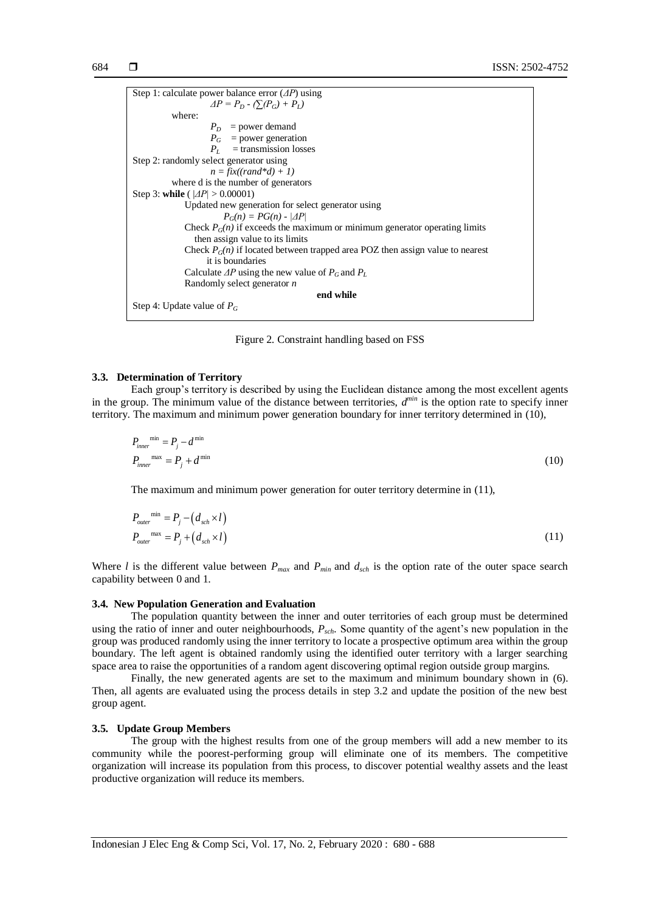Step 1: calculate power balance error (*ΔP*) using  $\Delta P = P_D - (\sum (P_G) + P_L)$ where:  $P_D$  = power demand  $P_G$  = power generation  $P_L$  = transmission losses Step 2: randomly select generator using  $n = \tilde{f}$ *ix*((*rand*\**d*) + *1*) where d is the number of generators Step 3: **while** ( |*ΔP|* > 0.00001) Updated new generation for select generator using  $P_G(n) = PG(n) - |{\Delta P}|$ Check  $P_G(n)$  if exceeds the maximum or minimum generator operating limits then assign value to its limits Check  $P_G(n)$  if located between trapped area POZ then assign value to nearest it is boundaries Calculate  $\Delta P$  using the new value of  $P_G$  and  $P_L$ Randomly select generator *n* **end while** Step 4: Update value of *P<sup>G</sup>*

Figure 2. Constraint handling based on FSS

#### **3.3. Determination of Territory**

Each group's territory is described by using the Euclidean distance among the most excellent agents in the group. The minimum value of the distance between territories, *d min* is the option rate to specify inner territory. The maximum and minimum power generation boundary for inner territory determined in (10),

$$
P_{\text{inner}}^{\text{min}} = P_j - d^{\text{min}}
$$
  

$$
P_{\text{inner}}^{\text{max}} = P_j + d^{\text{min}}
$$
 (10)

The maximum and minimum power generation for outer territory determine in (11),

$$
P_{outer}^{\min} = P_j - (d_{sch} \times l)
$$
  
\n
$$
P_{outer}^{\max} = P_j + (d_{sch} \times l)
$$
 (11)

Where *l* is the different value between  $P_{max}$  and  $P_{min}$  and  $d_{sch}$  is the option rate of the outer space search capability between 0 and 1.

#### **3.4. New Population Generation and Evaluation**

The population quantity between the inner and outer territories of each group must be determined using the ratio of inner and outer neighbourhoods, *Psch.* Some quantity of the agent's new population in the group was produced randomly using the inner territory to locate a prospective optimum area within the group boundary. The left agent is obtained randomly using the identified outer territory with a larger searching space area to raise the opportunities of a random agent discovering optimal region outside group margins.

Finally, the new generated agents are set to the maximum and minimum boundary shown in (6). Then, all agents are evaluated using the process details in step 3.2 and update the position of the new best group agent.

#### **3.5. Update Group Members**

The group with the highest results from one of the group members will add a new member to its community while the poorest-performing group will eliminate one of its members. The competitive organization will increase its population from this process, to discover potential wealthy assets and the least productive organization will reduce its members.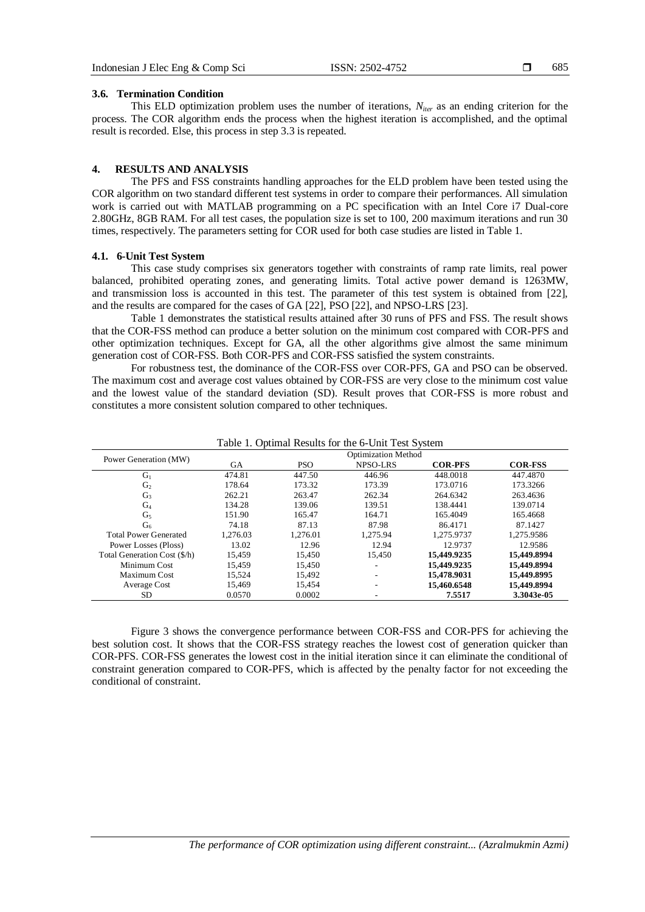# **3.6. Termination Condition**

This ELD optimization problem uses the number of iterations, *Niter* as an ending criterion for the process. The COR algorithm ends the process when the highest iteration is accomplished, and the optimal result is recorded. Else, this process in step 3.3 is repeated.

## **4. RESULTS AND ANALYSIS**

The PFS and FSS constraints handling approaches for the ELD problem have been tested using the COR algorithm on two standard different test systems in order to compare their performances. All simulation work is carried out with MATLAB programming on a PC specification with an Intel Core i7 Dual-core 2.80GHz, 8GB RAM. For all test cases, the population size is set to 100, 200 maximum iterations and run 30 times, respectively. The parameters setting for COR used for both case studies are listed in Table 1.

# **4.1. 6-Unit Test System**

This case study comprises six generators together with constraints of ramp rate limits, real power balanced, prohibited operating zones, and generating limits. Total active power demand is 1263MW, and transmission loss is accounted in this test. The parameter of this test system is obtained from [22], and the results are compared for the cases of GA [22], PSO [22], and NPSO-LRS [23].

Table 1 demonstrates the statistical results attained after 30 runs of PFS and FSS. The result shows that the COR-FSS method can produce a better solution on the minimum cost compared with COR-PFS and other optimization techniques. Except for GA, all the other algorithms give almost the same minimum generation cost of COR-FSS. Both COR-PFS and COR-FSS satisfied the system constraints.

For robustness test, the dominance of the COR-FSS over COR-PFS, GA and PSO can be observed. The maximum cost and average cost values obtained by COR-FSS are very close to the minimum cost value and the lowest value of the standard deviation (SD). Result proves that COR-FSS is more robust and constitutes a more consistent solution compared to other techniques.

|                              |          | <b>Optimization Method</b> |          |                |                |  |  |  |
|------------------------------|----------|----------------------------|----------|----------------|----------------|--|--|--|
| Power Generation (MW)        | GA       | <b>PSO</b>                 | NPSO-LRS | <b>COR-PFS</b> | <b>COR-FSS</b> |  |  |  |
| $G_1$                        | 474.81   | 447.50                     | 446.96   | 448.0018       | 447.4870       |  |  |  |
| G <sub>2</sub>               | 178.64   | 173.32                     | 173.39   | 173.0716       | 173.3266       |  |  |  |
| G <sub>3</sub>               | 262.21   | 263.47                     | 262.34   | 264.6342       | 263.4636       |  |  |  |
| $G_4$                        | 134.28   | 139.06                     | 139.51   | 138.4441       | 139.0714       |  |  |  |
| G <sub>5</sub>               | 151.90   | 165.47                     | 164.71   | 165.4049       | 165.4668       |  |  |  |
| G <sub>6</sub>               | 74.18    | 87.13                      | 87.98    | 86.4171        | 87.1427        |  |  |  |
| <b>Total Power Generated</b> | 1.276.03 | 1.276.01                   | 1.275.94 | 1.275.9737     | 1.275.9586     |  |  |  |
| Power Losses (Ploss)         | 13.02    | 12.96                      | 12.94    | 12.9737        | 12.9586        |  |  |  |
| Total Generation Cost (\$/h) | 15.459   | 15.450                     | 15.450   | 15.449.9235    | 15,449,8994    |  |  |  |
| Minimum Cost                 | 15.459   | 15,450                     |          | 15,449.9235    | 15,449.8994    |  |  |  |
| Maximum Cost                 | 15.524   | 15.492                     |          | 15,478.9031    | 15.449.8995    |  |  |  |
| Average Cost                 | 15.469   | 15.454                     |          | 15,460.6548    | 15,449.8994    |  |  |  |
| <b>SD</b>                    | 0.0570   | 0.0002                     |          | 7.5517         | 3.3043e-05     |  |  |  |

Table 1. Optimal Results for the 6-Unit Test System

Figure 3 shows the convergence performance between COR-FSS and COR-PFS for achieving the best solution cost. It shows that the COR-FSS strategy reaches the lowest cost of generation quicker than COR-PFS. COR-FSS generates the lowest cost in the initial iteration since it can eliminate the conditional of constraint generation compared to COR-PFS, which is affected by the penalty factor for not exceeding the conditional of constraint.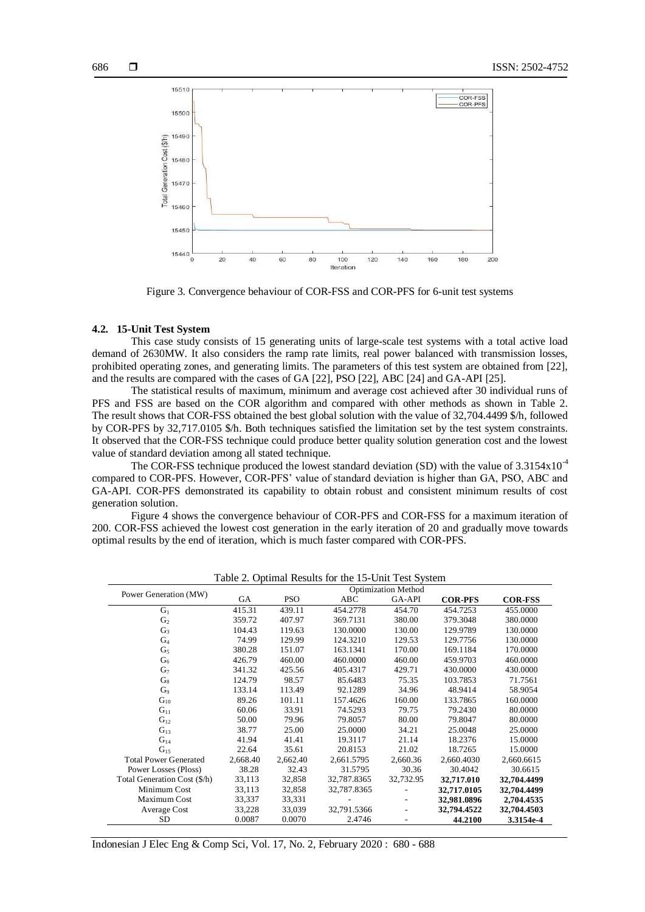

Figure 3. Convergence behaviour of COR-FSS and COR-PFS for 6-unit test systems

# **4.2. 15-Unit Test System**

This case study consists of 15 generating units of large-scale test systems with a total active load demand of 2630MW. It also considers the ramp rate limits, real power balanced with transmission losses, prohibited operating zones, and generating limits. The parameters of this test system are obtained from [22], and the results are compared with the cases of GA [22], PSO [22], ABC [24] and GA-API [25].

The statistical results of maximum, minimum and average cost achieved after 30 individual runs of PFS and FSS are based on the COR algorithm and compared with other methods as shown in Table 2. The result shows that COR-FSS obtained the best global solution with the value of 32,704.4499 \$/h, followed by COR-PFS by 32,717.0105 \$/h. Both techniques satisfied the limitation set by the test system constraints. It observed that the COR-FSS technique could produce better quality solution generation cost and the lowest value of standard deviation among all stated technique.

The COR-FSS technique produced the lowest standard deviation (SD) with the value of  $3.3154 \times 10^{-4}$ compared to COR-PFS. However, COR-PFS' value of standard deviation is higher than GA, PSO, ABC and GA-API. COR-PFS demonstrated its capability to obtain robust and consistent minimum results of cost generation solution.

Figure 4 shows the convergence behaviour of COR-PFS and COR-FSS for a maximum iteration of 200. COR-FSS achieved the lowest cost generation in the early iteration of 20 and gradually move towards optimal results by the end of iteration, which is much faster compared with COR-PFS.

| Table 2. Optimal Results for the 19-01 rest System |                            |            |             |           |                |                |  |  |  |
|----------------------------------------------------|----------------------------|------------|-------------|-----------|----------------|----------------|--|--|--|
| Power Generation (MW)                              | <b>Optimization Method</b> |            |             |           |                |                |  |  |  |
|                                                    | GA                         | <b>PSO</b> | ABC         | GA-API    | <b>COR-PFS</b> | <b>COR-FSS</b> |  |  |  |
| $G_1$                                              | 415.31                     | 439.11     | 454.2778    | 454.70    | 454.7253       | 455.0000       |  |  |  |
| G <sub>2</sub>                                     | 359.72                     | 407.97     | 369.7131    | 380.00    | 379.3048       | 380.0000       |  |  |  |
| $G_3$                                              | 104.43                     | 119.63     | 130,0000    | 130.00    | 129.9789       | 130.0000       |  |  |  |
| $G_4$                                              | 74.99                      | 129.99     | 124.3210    | 129.53    | 129.7756       | 130.0000       |  |  |  |
| $G_5$                                              | 380.28                     | 151.07     | 163.1341    | 170.00    | 169.1184       | 170.0000       |  |  |  |
| $G_6$                                              | 426.79                     | 460.00     | 460.0000    | 460.00    | 459.9703       | 460.0000       |  |  |  |
| G <sub>7</sub>                                     | 341.32                     | 425.56     | 405.4317    | 429.71    | 430.0000       | 430.0000       |  |  |  |
| $G_8$                                              | 124.79                     | 98.57      | 85.6483     | 75.35     | 103.7853       | 71.7561        |  |  |  |
| $G_9$                                              | 133.14                     | 113.49     | 92.1289     | 34.96     | 48.9414        | 58.9054        |  |  |  |
| $G_{10}$                                           | 89.26                      | 101.11     | 157.4626    | 160.00    | 133.7865       | 160.0000       |  |  |  |
| $G_{11}$                                           | 60.06                      | 33.91      | 74.5293     | 79.75     | 79.2430        | 80.0000        |  |  |  |
| $G_{12}$                                           | 50.00                      | 79.96      | 79.8057     | 80.00     | 79.8047        | 80.0000        |  |  |  |
| $G_{13}$                                           | 38.77                      | 25.00      | 25.0000     | 34.21     | 25.0048        | 25.0000        |  |  |  |
| $G_{14}$                                           | 41.94                      | 41.41      | 19.3117     | 21.14     | 18.2376        | 15.0000        |  |  |  |
| $G_{15}$                                           | 22.64                      | 35.61      | 20.8153     | 21.02     | 18.7265        | 15.0000        |  |  |  |
| <b>Total Power Generated</b>                       | 2,668.40                   | 2,662.40   | 2,661.5795  | 2,660.36  | 2,660.4030     | 2,660.6615     |  |  |  |
| Power Losses (Ploss)                               | 38.28                      | 32.43      | 31.5795     | 30.36     | 30.4042        | 30.6615        |  |  |  |
| Total Generation Cost (\$/h)                       | 33,113                     | 32,858     | 32,787.8365 | 32,732.95 | 32,717.010     | 32,704.4499    |  |  |  |
| Minimum Cost                                       | 33,113                     | 32,858     | 32,787.8365 |           | 32,717.0105    | 32,704.4499    |  |  |  |
| Maximum Cost                                       | 33,337                     | 33,331     |             |           | 32,981.0896    | 2,704.4535     |  |  |  |
| Average Cost                                       | 33,228                     | 33,039     | 32,791.5366 |           | 32,794.4522    | 32,704.4503    |  |  |  |
| SD.                                                | 0.0087                     | 0.0070     | 2.4746      |           | 44.2100        | 3.3154e-4      |  |  |  |
|                                                    |                            |            |             |           |                |                |  |  |  |

Table 2. Optimal Results for the 15-Unit Test System

Indonesian J Elec Eng & Comp Sci, Vol. 17, No. 2, February 2020 : 680 - 688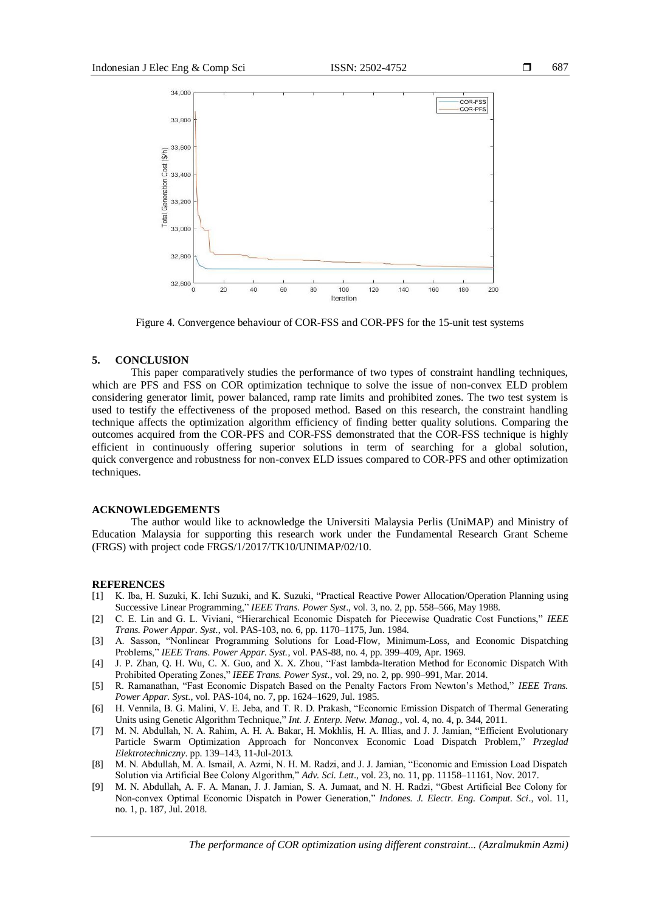

Figure 4. Convergence behaviour of COR-FSS and COR-PFS for the 15-unit test systems

# **5. CONCLUSION**

This paper comparatively studies the performance of two types of constraint handling techniques, which are PFS and FSS on COR optimization technique to solve the issue of non-convex ELD problem considering generator limit, power balanced, ramp rate limits and prohibited zones. The two test system is used to testify the effectiveness of the proposed method. Based on this research, the constraint handling technique affects the optimization algorithm efficiency of finding better quality solutions. Comparing the outcomes acquired from the COR-PFS and COR-FSS demonstrated that the COR-FSS technique is highly efficient in continuously offering superior solutions in term of searching for a global solution, quick convergence and robustness for non-convex ELD issues compared to COR-PFS and other optimization techniques.

#### **ACKNOWLEDGEMENTS**

The author would like to acknowledge the Universiti Malaysia Perlis (UniMAP) and Ministry of Education Malaysia for supporting this research work under the Fundamental Research Grant Scheme (FRGS) with project code FRGS/1/2017/TK10/UNIMAP/02/10.

#### **REFERENCES**

- [1] K. Iba, H. Suzuki, K. Ichi Suzuki, and K. Suzuki, "Practical Reactive Power Allocation/Operation Planning using Successive Linear Programming," *IEEE Trans. Power Syst*., vol. 3, no. 2, pp. 558–566, May 1988.
- [2] C. E. Lin and G. L. Viviani, "Hierarchical Economic Dispatch for Piecewise Quadratic Cost Functions," *IEEE Trans. Power Appar. Syst.*, vol. PAS-103, no. 6, pp. 1170–1175, Jun. 1984.
- [3] A. Sasson, "Nonlinear Programming Solutions for Load-Flow, Minimum-Loss, and Economic Dispatching Problems," *IEEE Trans. Power Appar. Syst.*, vol. PAS-88, no. 4, pp. 399–409, Apr. 1969.
- [4] J. P. Zhan, Q. H. Wu, C. X. Guo, and X. X. Zhou, "Fast lambda-Iteration Method for Economic Dispatch With Prohibited Operating Zones," *IEEE Trans. Power Syst.*, vol. 29, no. 2, pp. 990–991, Mar. 2014.
- [5] R. Ramanathan, "Fast Economic Dispatch Based on the Penalty Factors From Newton's Method," *IEEE Trans. Power Appar. Syst.*, vol. PAS-104, no. 7, pp. 1624–1629, Jul. 1985.
- [6] H. Vennila, B. G. Malini, V. E. Jeba, and T. R. D. Prakash, "Economic Emission Dispatch of Thermal Generating Units using Genetic Algorithm Technique," *Int. J. Enterp. Netw. Manag.*, vol. 4, no. 4, p. 344, 2011.
- [7] M. N. Abdullah, N. A. Rahim, A. H. A. Bakar, H. Mokhlis, H. A. Illias, and J. J. Jamian, "Efficient Evolutionary Particle Swarm Optimization Approach for Nonconvex Economic Load Dispatch Problem," *Przeglad Elektrotechniczny*. pp. 139–143, 11-Jul-2013.
- [8] M. N. Abdullah, M. A. Ismail, A. Azmi, N. H. M. Radzi, and J. J. Jamian, "Economic and Emission Load Dispatch Solution via Artificial Bee Colony Algorithm," *Adv. Sci. Lett*., vol. 23, no. 11, pp. 11158–11161, Nov. 2017.
- [9] M. N. Abdullah, A. F. A. Manan, J. J. Jamian, S. A. Jumaat, and N. H. Radzi, "Gbest Artificial Bee Colony for Non-convex Optimal Economic Dispatch in Power Generation," *Indones. J. Electr. Eng. Comput. Sci*., vol. 11, no. 1, p. 187, Jul. 2018.